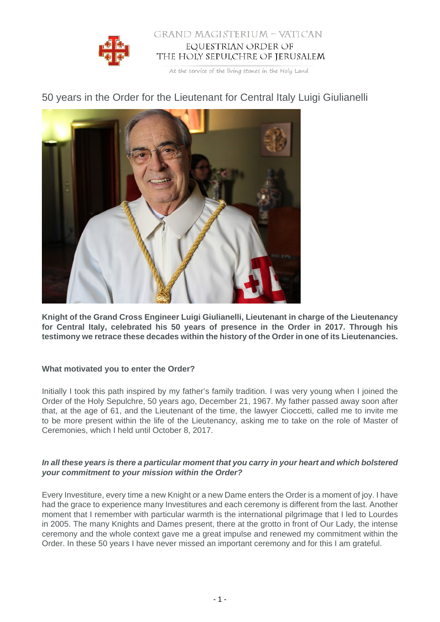

# GRAND MAGISTERIUM - VATICAN EQUESTRIAN ORDER OF THE HOLY SEPULCHRE OF JERUSALEM

At the service of the living stones in the Holy Land

# 50 years in the Order for the Lieutenant for Central Italy Luigi Giulianelli



**Knight of the Grand Cross Engineer Luigi Giulianelli, Lieutenant in charge of the Lieutenancy for Central Italy, celebrated his 50 years of presence in the Order in 2017. Through his testimony we retrace these decades within the history of the Order in one of its Lieutenancies.**

# **What motivated you to enter the Order?**

Initially I took this path inspired by my father's family tradition. I was very young when I joined the Order of the Holy Sepulchre, 50 years ago, December 21, 1967. My father passed away soon after that, at the age of 61, and the Lieutenant of the time, the lawyer Cioccetti, called me to invite me to be more present within the life of the Lieutenancy, asking me to take on the role of Master of Ceremonies, which I held until October 8, 2017.

## **In all these years is there a particular moment that you carry in your heart and which bolstered your commitment to your mission within the Order?**

Every Investiture, every time a new Knight or a new Dame enters the Order is a moment of joy. I have had the grace to experience many Investitures and each ceremony is different from the last. Another moment that I remember with particular warmth is the international pilgrimage that I led to Lourdes in 2005. The many Knights and Dames present, there at the grotto in front of Our Lady, the intense ceremony and the whole context gave me a great impulse and renewed my commitment within the Order. In these 50 years I have never missed an important ceremony and for this I am grateful.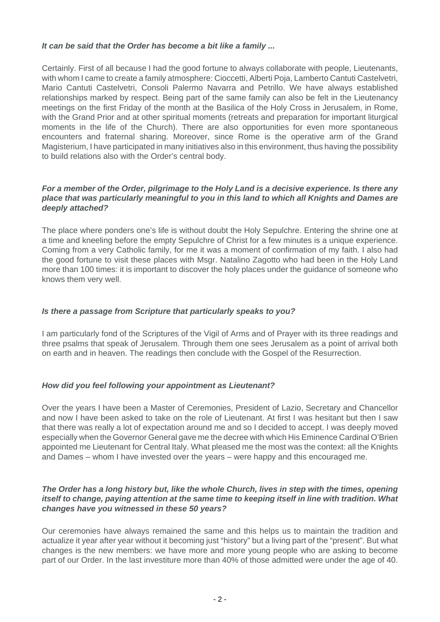#### **It can be said that the Order has become a bit like a family ...**

Certainly. First of all because I had the good fortune to always collaborate with people, Lieutenants, with whom I came to create a family atmosphere: Cioccetti, Alberti Poia, Lamberto Cantuti Castelvetri, Mario Cantuti Castelvetri, Consoli Palermo Navarra and Petrillo. We have always established relationships marked by respect. Being part of the same family can also be felt in the Lieutenancy meetings on the first Friday of the month at the Basilica of the Holy Cross in Jerusalem, in Rome, with the Grand Prior and at other spiritual moments (retreats and preparation for important liturgical moments in the life of the Church). There are also opportunities for even more spontaneous encounters and fraternal sharing. Moreover, since Rome is the operative arm of the Grand Magisterium, I have participated in many initiatives also in this environment, thus having the possibility to build relations also with the Order's central body.

## **For a member of the Order, pilgrimage to the Holy Land is a decisive experience. Is there any place that was particularly meaningful to you in this land to which all Knights and Dames are deeply attached?**

The place where ponders one's life is without doubt the Holy Sepulchre. Entering the shrine one at a time and kneeling before the empty Sepulchre of Christ for a few minutes is a unique experience. Coming from a very Catholic family, for me it was a moment of confirmation of my faith. I also had the good fortune to visit these places with Msgr. Natalino Zagotto who had been in the Holy Land more than 100 times: it is important to discover the holy places under the guidance of someone who knows them very well.

#### **Is there a passage from Scripture that particularly speaks to you?**

I am particularly fond of the Scriptures of the Vigil of Arms and of Prayer with its three readings and three psalms that speak of Jerusalem. Through them one sees Jerusalem as a point of arrival both on earth and in heaven. The readings then conclude with the Gospel of the Resurrection.

#### **How did you feel following your appointment as Lieutenant?**

Over the years I have been a Master of Ceremonies, President of Lazio, Secretary and Chancellor and now I have been asked to take on the role of Lieutenant. At first I was hesitant but then I saw that there was really a lot of expectation around me and so I decided to accept. I was deeply moved especially when the Governor General gave me the decree with which His Eminence Cardinal O'Brien appointed me Lieutenant for Central Italy. What pleased me the most was the context: all the Knights and Dames – whom I have invested over the years – were happy and this encouraged me.

#### **The Order has a long history but, like the whole Church, lives in step with the times, opening itself to change, paying attention at the same time to keeping itself in line with tradition. What changes have you witnessed in these 50 years?**

Our ceremonies have always remained the same and this helps us to maintain the tradition and actualize it year after year without it becoming just "history" but a living part of the "present". But what changes is the new members: we have more and more young people who are asking to become part of our Order. In the last investiture more than 40% of those admitted were under the age of 40.